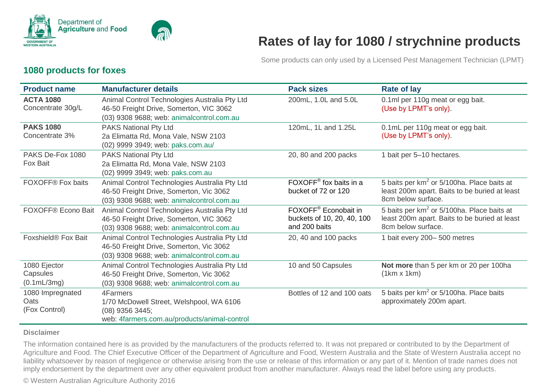

# **Rates of lay for 1080 / strychnine products**

Some products can only used by a Licensed Pest Management Technician (LPMT)

#### **1080 products for foxes**

| <b>Product name</b>                               | <b>Manufacturer details</b>                                                                                                           | <b>Pack sizes</b>                                                               | <b>Rate of lay</b>                                                                                                            |
|---------------------------------------------------|---------------------------------------------------------------------------------------------------------------------------------------|---------------------------------------------------------------------------------|-------------------------------------------------------------------------------------------------------------------------------|
| <b>ACTA 1080</b><br>Concentrate 30g/L             | Animal Control Technologies Australia Pty Ltd<br>46-50 Freight Drive, Somerton, VIC 3062<br>(03) 9308 9688; web: animalcontrol.com.au | 200mL, 1.0L and 5.0L                                                            | 0.1ml per 110g meat or egg bait.<br>(Use by LPMT's only).                                                                     |
| <b>PAKS 1080</b><br>Concentrate 3%                | PAKS National Pty Ltd<br>2a Elimatta Rd, Mona Vale, NSW 2103<br>(02) 9999 3949; web: paks.com.au/                                     | 120mL, 1L and 1.25L                                                             | 0.1mL per 110g meat or egg bait.<br>(Use by LPMT's only).                                                                     |
| PAKS De-Fox 1080<br>Fox Bait                      | PAKS National Pty Ltd<br>2a Elimatta Rd, Mona Vale, NSW 2103<br>(02) 9999 3949; web: paks.com.au                                      | 20, 80 and 200 packs                                                            | 1 bait per 5-10 hectares.                                                                                                     |
| FOXOFF® Fox baits                                 | Animal Control Technologies Australia Pty Ltd<br>46-50 Freight Drive, Somerton, Vic 3062<br>(03) 9308 9688; web: animalcontrol.com.au | FOXOFF <sup>®</sup> fox baits in a<br>bucket of 72 or 120                       | 5 baits per $km^2$ or 5/100ha. Place baits at<br>least 200m apart. Baits to be buried at least<br>8cm below surface.          |
| FOXOFF® Econo Bait                                | Animal Control Technologies Australia Pty Ltd<br>46-50 Freight Drive, Somerton, VIC 3062<br>(03) 9308 9688; web: animalcontrol.com.au | FOXOFF <sup>®</sup> Econobait in<br>buckets of 10, 20, 40, 100<br>and 200 baits | 5 baits per km <sup>2</sup> or 5/100ha. Place baits at<br>least 200m apart. Baits to be buried at least<br>8cm below surface. |
| Foxshield <sup>®</sup> Fox Bait                   | Animal Control Technologies Australia Pty Ltd<br>46-50 Freight Drive, Somerton, Vic 3062<br>(03) 9308 9688; web: animalcontrol.com.au | 20, 40 and 100 packs                                                            | 1 bait every 200-500 metres                                                                                                   |
| 1080 Ejector<br>Capsules<br>$(0.1 \text{mL/3mg})$ | Animal Control Technologies Australia Pty Ltd<br>46-50 Freight Drive, Somerton, Vic 3062<br>(03) 9308 9688; web: animalcontrol.com.au | 10 and 50 Capsules                                                              | Not more than 5 per km or 20 per 100ha<br>$(1km \times 1km)$                                                                  |
| 1080 Impregnated<br>Oats<br>(Fox Control)         | 4Farmers<br>1/70 McDowell Street, Welshpool, WA 6106<br>(08) 9356 3445;<br>web: 4farmers.com.au/products/animal-control               | Bottles of 12 and 100 oats                                                      | 5 baits per km <sup>2</sup> or 5/100ha. Place baits<br>approximately 200m apart.                                              |

#### **Disclaimer**

The information contained here is as provided by the manufacturers of the products referred to. It was not prepared or contributed to by the Department of Agriculture and Food. The Chief Executive Officer of the Department of Agriculture and Food, Western Australia and the State of Western Australia accept no liability whatsoever by reason of negligence or otherwise arising from the use or release of this information or any part of it. Mention of trade names does not imply endorsement by the department over any other equivalent product from another manufacturer. Always read the label before using any products.

© Western Australian Agriculture Authority 2016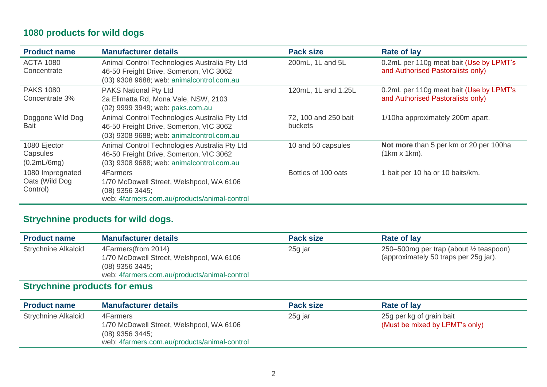## **1080 products for wild dogs**

| <b>Product name</b>                            | <b>Manufacturer details</b>                                                                                                           | <b>Pack size</b>                       | <b>Rate of lay</b>                                                           |
|------------------------------------------------|---------------------------------------------------------------------------------------------------------------------------------------|----------------------------------------|------------------------------------------------------------------------------|
| <b>ACTA 1080</b><br>Concentrate                | Animal Control Technologies Australia Pty Ltd<br>46-50 Freight Drive, Somerton, VIC 3062<br>(03) 9308 9688; web: animalcontrol.com.au | 200mL, 1L and 5L                       | 0.2mL per 110g meat bait (Use by LPMT's<br>and Authorised Pastoralists only) |
| <b>PAKS 1080</b><br>Concentrate 3%             | <b>PAKS National Pty Ltd</b><br>2a Elimatta Rd, Mona Vale, NSW, 2103<br>(02) 9999 3949; web: paks.com.au                              | 120mL, 1L and 1.25L                    | 0.2mL per 110g meat bait (Use by LPMT's<br>and Authorised Pastoralists only) |
| Doggone Wild Dog<br><b>Bait</b>                | Animal Control Technologies Australia Pty Ltd<br>46-50 Freight Drive, Somerton, VIC 3062<br>(03) 9308 9688; web: animalcontrol.com.au | 72, 100 and 250 bait<br><b>buckets</b> | 1/10ha approximately 200m apart.                                             |
| 1080 Ejector<br>Capsules<br>(0.2mL/6mg)        | Animal Control Technologies Australia Pty Ltd<br>46-50 Freight Drive, Somerton, VIC 3062<br>(03) 9308 9688; web: animalcontrol.com.au | 10 and 50 capsules                     | Not more than 5 per km or 20 per 100ha<br>$(1km \times 1km)$ .               |
| 1080 Impregnated<br>Oats (Wild Dog<br>Control) | 4Farmers<br>1/70 McDowell Street, Welshpool, WA 6106<br>$(08)$ 9356 3445;<br>web: 4farmers.com.au/products/animal-control             | Bottles of 100 oats                    | 1 bait per 10 ha or 10 baits/km.                                             |

## **Strychnine products for wild dogs.**

| <b>Product name</b>        | <b>Manufacturer details</b>                                                                                                          | <b>Pack size</b> | Rate of lay                                                                      |
|----------------------------|--------------------------------------------------------------------------------------------------------------------------------------|------------------|----------------------------------------------------------------------------------|
| <b>Strychnine Alkaloid</b> | 4Farmers(from 2014)<br>1/70 McDowell Street, Welshpool, WA 6106<br>$(08)$ 9356 3445;<br>web: 4farmers.com.au/products/animal-control | 25g jar          | 250–500mg per trap (about 1/2 teaspoon)<br>(approximately 50 traps per 25g jar). |

## **Strychnine products for emus**

| <b>Product name</b>        | <b>Manufacturer details</b>                                                                                               | <b>Pack size</b> | Rate of lay                                                |
|----------------------------|---------------------------------------------------------------------------------------------------------------------------|------------------|------------------------------------------------------------|
| <b>Strychnine Alkaloid</b> | 4Farmers<br>1/70 McDowell Street, Welshpool, WA 6106<br>$(08)$ 9356 3445;<br>web: 4farmers.com.au/products/animal-control | 25g jar          | 25g per kg of grain bait<br>(Must be mixed by LPMT's only) |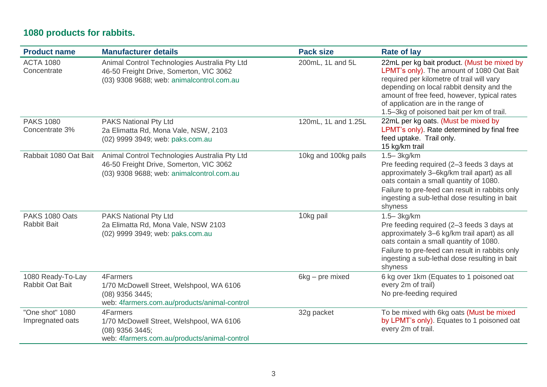## **1080 products for rabbits.**

| <b>Product name</b>                         | <b>Manufacturer details</b>                                                                                                           | <b>Pack size</b>     | <b>Rate of lay</b>                                                                                                                                                                                                                                                                                                   |
|---------------------------------------------|---------------------------------------------------------------------------------------------------------------------------------------|----------------------|----------------------------------------------------------------------------------------------------------------------------------------------------------------------------------------------------------------------------------------------------------------------------------------------------------------------|
| <b>ACTA 1080</b><br>Concentrate             | Animal Control Technologies Australia Pty Ltd<br>46-50 Freight Drive, Somerton, VIC 3062<br>(03) 9308 9688; web: animalcontrol.com.au | 200mL, 1L and 5L     | 22mL per kg bait product. (Must be mixed by<br>LPMT's only). The amount of 1080 Oat Bait<br>required per kilometre of trail will vary<br>depending on local rabbit density and the<br>amount of free feed, however, typical rates<br>of application are in the range of<br>1.5-3kg of poisoned bait per km of trail. |
| <b>PAKS 1080</b><br>Concentrate 3%          | PAKS National Pty Ltd<br>2a Elimatta Rd, Mona Vale, NSW, 2103<br>(02) 9999 3949; web: paks.com.au                                     | 120mL, 1L and 1.25L  | 22mL per kg oats. (Must be mixed by<br>LPMT's only). Rate determined by final free<br>feed uptake. Trail only.<br>15 kg/km trail                                                                                                                                                                                     |
| Rabbait 1080 Oat Bait                       | Animal Control Technologies Australia Pty Ltd<br>46-50 Freight Drive, Somerton, VIC 3062<br>(03) 9308 9688; web: animalcontrol.com.au | 10kg and 100kg pails | $1.5 - 3kg/km$<br>Pre feeding required (2-3 feeds 3 days at<br>approximately 3-6kg/km trail apart) as all<br>oats contain a small quantity of 1080.<br>Failure to pre-feed can result in rabbits only<br>ingesting a sub-lethal dose resulting in bait<br>shyness                                                    |
| PAKS 1080 Oats<br><b>Rabbit Bait</b>        | <b>PAKS National Pty Ltd</b><br>2a Elimatta Rd, Mona Vale, NSW 2103<br>(02) 9999 3949; web: paks.com.au                               | 10kg pail            | $1.5 - 3kg/km$<br>Pre feeding required (2-3 feeds 3 days at<br>approximately 3-6 kg/km trail apart) as all<br>oats contain a small quantity of 1080.<br>Failure to pre-feed can result in rabbits only<br>ingesting a sub-lethal dose resulting in bait<br>shyness                                                   |
| 1080 Ready-To-Lay<br><b>Rabbit Oat Bait</b> | 4Farmers<br>1/70 McDowell Street, Welshpool, WA 6106<br>(08) 9356 3445;<br>web: 4farmers.com.au/products/animal-control               | 6kg - pre mixed      | 6 kg over 1km (Equates to 1 poisoned oat<br>every 2m of trail)<br>No pre-feeding required                                                                                                                                                                                                                            |
| "One shot" 1080<br>Impregnated oats         | 4Farmers<br>1/70 McDowell Street, Welshpool, WA 6106<br>(08) 9356 3445;<br>web: 4farmers.com.au/products/animal-control               | 32g packet           | To be mixed with 6kg oats (Must be mixed<br>by LPMT's only). Equates to 1 poisoned oat<br>every 2m of trail.                                                                                                                                                                                                         |